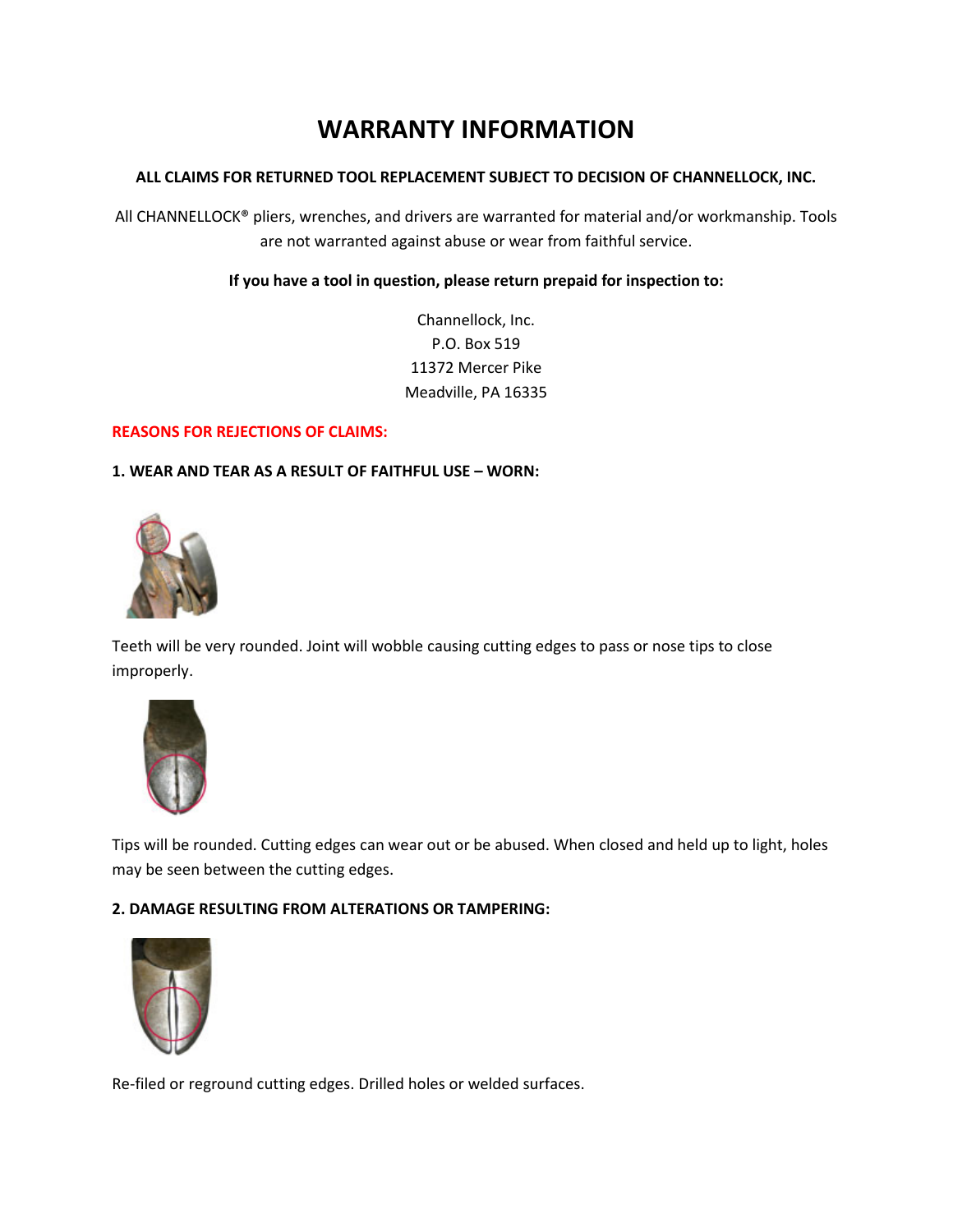# **WARRANTY INFORMATION**

#### **ALL CLAIMS FOR RETURNED TOOL REPLACEMENT SUBJECT TO DECISION OF CHANNELLOCK, INC.**

All CHANNELLOCK® pliers, wrenches, and drivers are warranted for material and/or workmanship. Tools are not warranted against abuse or wear from faithful service.

#### **If you have a tool in question, please return prepaid for inspection to:**

Channellock, Inc. P.O. Box 519 11372 Mercer Pike Meadville, PA 16335

#### **REASONS FOR REJECTIONS OF CLAIMS:**

## **1. WEAR AND TEAR AS A RESULT OF FAITHFUL USE – WORN:**



Teeth will be very rounded. Joint will wobble causing cutting edges to pass or nose tips to close improperly.



Tips will be rounded. Cutting edges can wear out or be abused. When closed and held up to light, holes may be seen between the cutting edges.

#### **2. DAMAGE RESULTING FROM ALTERATIONS OR TAMPERING:**



Re-filed or reground cutting edges. Drilled holes or welded surfaces.